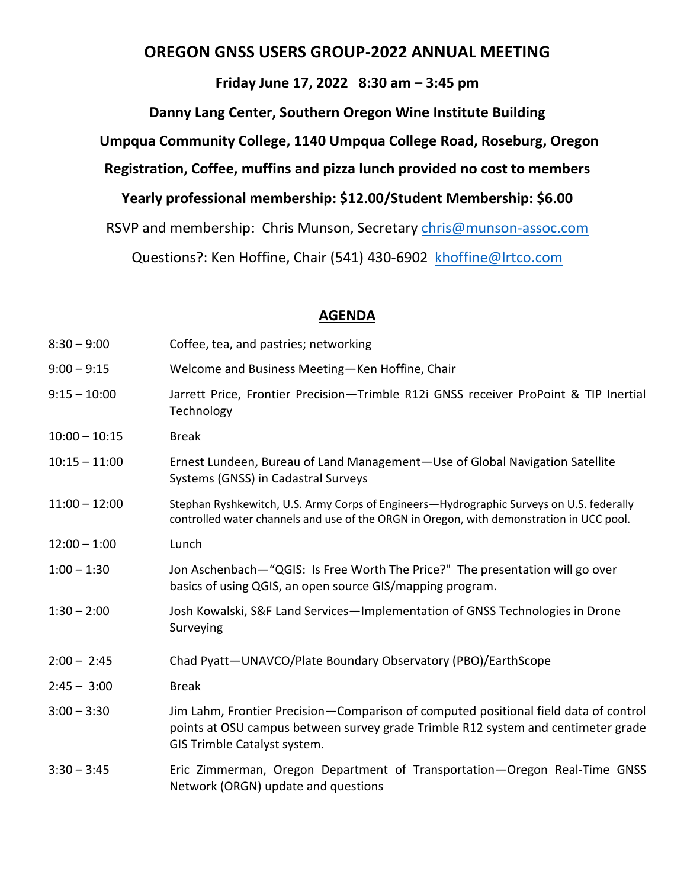# **OREGON GNSS USERS GROUP-2022 ANNUAL MEETING**

## **Friday June 17, 2022 8:30 am – 3:45 pm**

**Danny Lang Center, Southern Oregon Wine Institute Building**

**Umpqua Community College, 1140 Umpqua College Road, Roseburg, Oregon**

**Registration, Coffee, muffins and pizza lunch provided no cost to members**

**Yearly professional membership: \$12.00/Student Membership: \$6.00**

RSVP and membership: Chris Munson, Secretary [chris@munson-assoc.com](mailto:chris@munson-assoc.com)

Questions?: Ken Hoffine, Chair (541) 430-6902 [khoffine@lrtco.com](mailto:khoffine@lrtco.com)

#### **AGENDA**

| $8:30 - 9:00$   | Coffee, tea, and pastries; networking                                                                                                                                                                     |
|-----------------|-----------------------------------------------------------------------------------------------------------------------------------------------------------------------------------------------------------|
| $9:00 - 9:15$   | Welcome and Business Meeting-Ken Hoffine, Chair                                                                                                                                                           |
| $9:15 - 10:00$  | Jarrett Price, Frontier Precision-Trimble R12i GNSS receiver ProPoint & TIP Inertial<br>Technology                                                                                                        |
| $10:00 - 10:15$ | <b>Break</b>                                                                                                                                                                                              |
| $10:15 - 11:00$ | Ernest Lundeen, Bureau of Land Management-Use of Global Navigation Satellite<br>Systems (GNSS) in Cadastral Surveys                                                                                       |
| $11:00 - 12:00$ | Stephan Ryshkewitch, U.S. Army Corps of Engineers-Hydrographic Surveys on U.S. federally<br>controlled water channels and use of the ORGN in Oregon, with demonstration in UCC pool.                      |
| $12:00 - 1:00$  | Lunch                                                                                                                                                                                                     |
| $1:00 - 1:30$   | Jon Aschenbach—"QGIS: Is Free Worth The Price?" The presentation will go over<br>basics of using QGIS, an open source GIS/mapping program.                                                                |
| $1:30 - 2:00$   | Josh Kowalski, S&F Land Services-Implementation of GNSS Technologies in Drone<br>Surveying                                                                                                                |
| $2:00 - 2:45$   | Chad Pyatt-UNAVCO/Plate Boundary Observatory (PBO)/EarthScope                                                                                                                                             |
| $2:45 - 3:00$   | <b>Break</b>                                                                                                                                                                                              |
| $3:00 - 3:30$   | Jim Lahm, Frontier Precision-Comparison of computed positional field data of control<br>points at OSU campus between survey grade Trimble R12 system and centimeter grade<br>GIS Trimble Catalyst system. |
| $3:30 - 3:45$   | Eric Zimmerman, Oregon Department of Transportation-Oregon Real-Time GNSS<br>Network (ORGN) update and questions                                                                                          |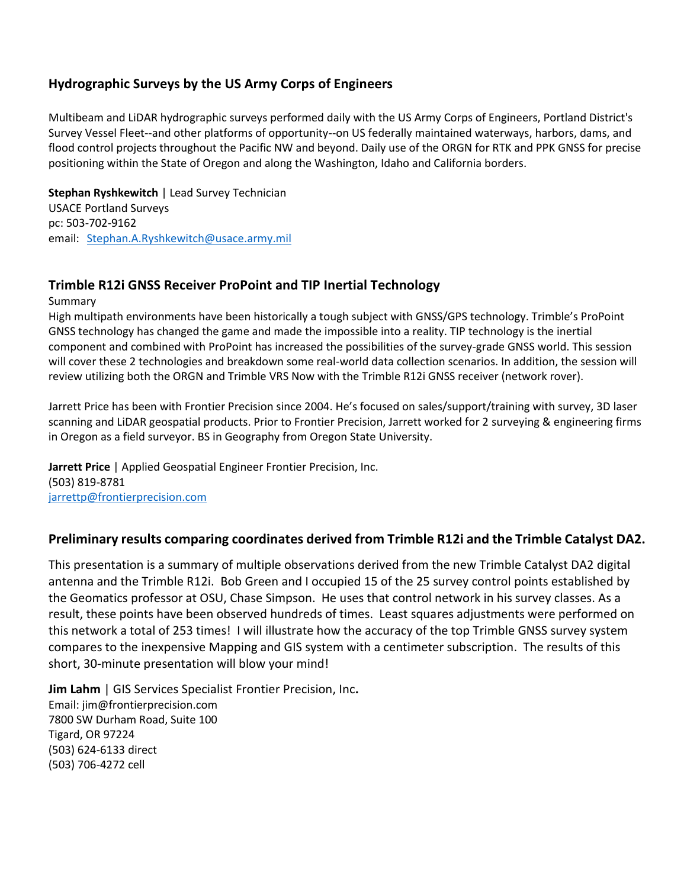#### **Hydrographic Surveys by the US Army Corps of Engineers**

Multibeam and LiDAR hydrographic surveys performed daily with the US Army Corps of Engineers, Portland District's Survey Vessel Fleet--and other platforms of opportunity--on US federally maintained waterways, harbors, dams, and flood control projects throughout the Pacific NW and beyond. Daily use of the ORGN for RTK and PPK GNSS for precise positioning within the State of Oregon and along the Washington, Idaho and California borders.

**Stephan Ryshkewitch** | Lead Survey Technician USACE Portland Surveys pc: 503-702-9162 email: [Stephan.A.Ryshkewitch@usace.army.mil](mailto:Stephan.A.Ryshkewitch@usace.army.mil)

#### **Trimble R12i GNSS Receiver ProPoint and TIP Inertial Technology**

Summary

High multipath environments have been historically a tough subject with GNSS/GPS technology. Trimble's ProPoint GNSS technology has changed the game and made the impossible into a reality. TIP technology is the inertial component and combined with ProPoint has increased the possibilities of the survey-grade GNSS world. This session will cover these 2 technologies and breakdown some real-world data collection scenarios. In addition, the session will review utilizing both the ORGN and Trimble VRS Now with the Trimble R12i GNSS receiver (network rover).

Jarrett Price has been with Frontier Precision since 2004. He's focused on sales/support/training with survey, 3D laser scanning and LiDAR geospatial products. Prior to Frontier Precision, Jarrett worked for 2 surveying & engineering firms in Oregon as a field surveyor. BS in Geography from Oregon State University.

**Jarrett Price** | Applied Geospatial Engineer Frontier Precision, Inc. (503) 819-8781 [jarrettp@frontierprecision.com](mailto:jarrettp@frontierprecision.com)

#### **Preliminary results comparing coordinates derived from Trimble R12i and the Trimble Catalyst DA2.**

This presentation is a summary of multiple observations derived from the new Trimble Catalyst DA2 digital antenna and the Trimble R12i. Bob Green and I occupied 15 of the 25 survey control points established by the Geomatics professor at OSU, Chase Simpson. He uses that control network in his survey classes. As a result, these points have been observed hundreds of times. Least squares adjustments were performed on this network a total of 253 times! I will illustrate how the accuracy of the top Trimble GNSS survey system compares to the inexpensive Mapping and GIS system with a centimeter subscription. The results of this short, 30-minute presentation will blow your mind!

**Jim Lahm** | GIS Services Specialist Frontier Precision, Inc**.** Email: jim@frontierprecision.com 7800 SW Durham Road, Suite 100 Tigard, OR 97224 (503) 624-6133 direct (503) 706-4272 cell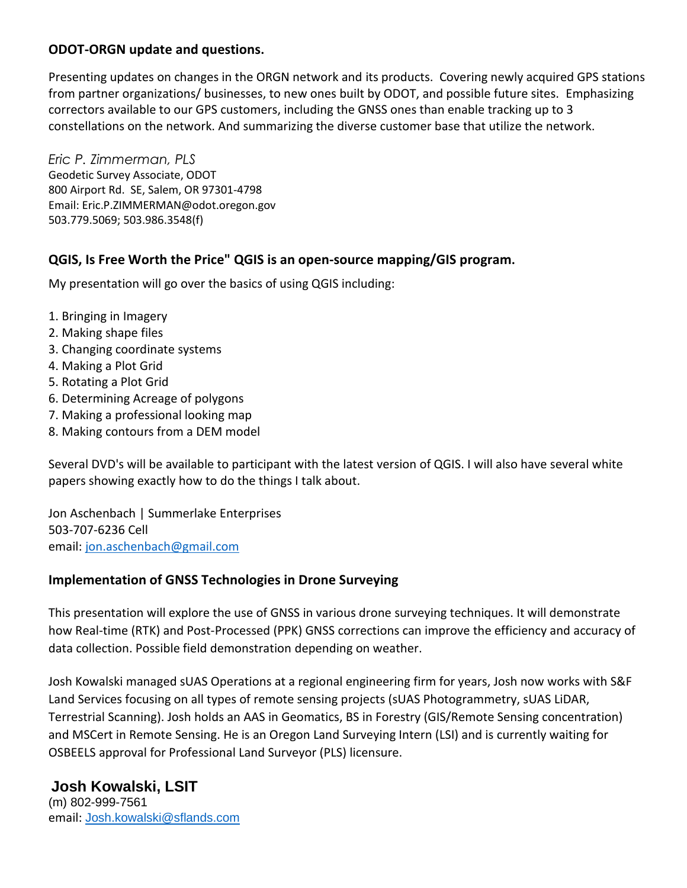## **ODOT-ORGN update and questions.**

Presenting updates on changes in the ORGN network and its products. Covering newly acquired GPS stations from partner organizations/ businesses, to new ones built by ODOT, and possible future sites. Emphasizing correctors available to our GPS customers, including the GNSS ones than enable tracking up to 3 constellations on the network. And summarizing the diverse customer base that utilize the network.

*Eric P. Zimmerman, PLS* Geodetic Survey Associate, ODOT 800 Airport Rd. SE, Salem, OR 97301-4798 Email: Eric.P.ZIMMERMAN@odot.oregon.gov 503.779.5069; 503.986.3548(f)

## **QGIS, Is Free Worth the Price" QGIS is an open-source mapping/GIS program.**

My presentation will go over the basics of using QGIS including:

- 1. Bringing in Imagery
- 2. Making shape files
- 3. Changing coordinate systems
- 4. Making a Plot Grid
- 5. Rotating a Plot Grid
- 6. Determining Acreage of polygons
- 7. Making a professional looking map
- 8. Making contours from a DEM model

Several DVD's will be available to participant with the latest version of QGIS. I will also have several white papers showing exactly how to do the things I talk about.

Jon Aschenbach | Summerlake Enterprises 503-707-6236 Cell email: [jon.aschenbach@gmail.com](mailto:jon.aschenbach@gmail.com)

## **Implementation of GNSS Technologies in Drone Surveying**

This presentation will explore the use of GNSS in various drone surveying techniques. It will demonstrate how Real-time (RTK) and Post-Processed (PPK) GNSS corrections can improve the efficiency and accuracy of data collection. Possible field demonstration depending on weather.

Josh Kowalski managed sUAS Operations at a regional engineering firm for years, Josh now works with S&F Land Services focusing on all types of remote sensing projects (sUAS Photogrammetry, sUAS LiDAR, Terrestrial Scanning). Josh holds an AAS in Geomatics, BS in Forestry (GIS/Remote Sensing concentration) and MSCert in Remote Sensing. He is an Oregon Land Surveying Intern (LSI) and is currently waiting for OSBEELS approval for Professional Land Surveyor (PLS) licensure.

#### **Josh Kowalski, LSIT** (m) 802-999-7561

email: [Josh.kowalski@sflands.com](mailto:Josh.kowalski@sflands.com)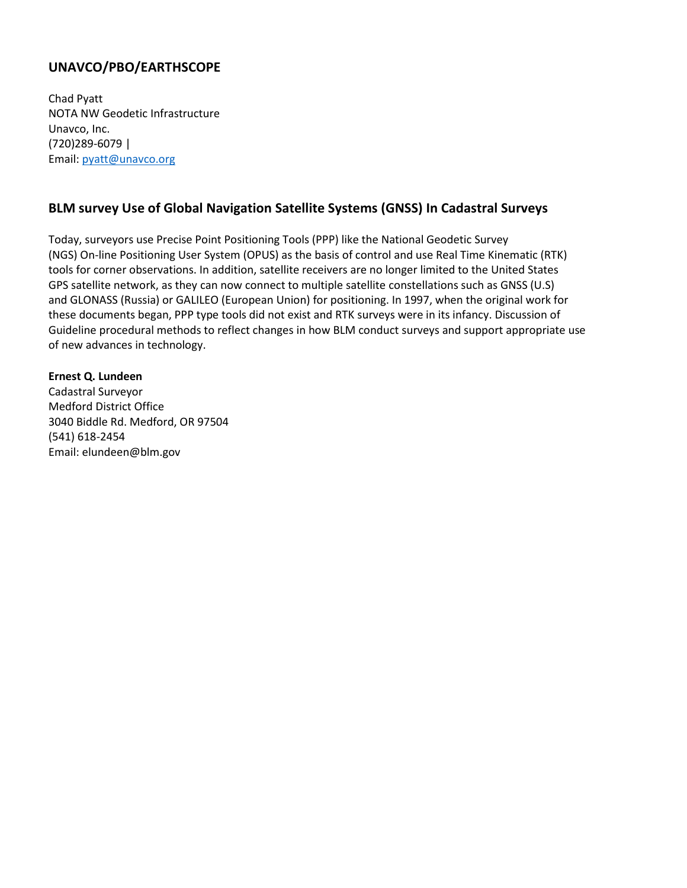## **UNAVCO/PBO/EARTHSCOPE**

Chad Pyatt NOTA NW Geodetic Infrastructure Unavco, Inc. (720)289-6079 | Email: [pyatt@unavco.org](mailto:pyatt@unavco.org)

### **BLM survey Use of Global Navigation Satellite Systems (GNSS) In Cadastral Surveys**

Today, surveyors use Precise Point Positioning Tools (PPP) like the National Geodetic Survey (NGS) On-line Positioning User System (OPUS) as the basis of control and use Real Time Kinematic (RTK) tools for corner observations. In addition, satellite receivers are no longer limited to the United States GPS satellite network, as they can now connect to multiple satellite constellations such as GNSS (U.S) and GLONASS (Russia) or GALILEO (European Union) for positioning. In 1997, when the original work for these documents began, PPP type tools did not exist and RTK surveys were in its infancy. Discussion of Guideline procedural methods to reflect changes in how BLM conduct surveys and support appropriate use of new advances in technology.

#### **Ernest Q. Lundeen**

Cadastral Surveyor Medford District Office 3040 Biddle Rd. Medford, OR 97504 (541) 618-2454 Email: elundeen@blm.gov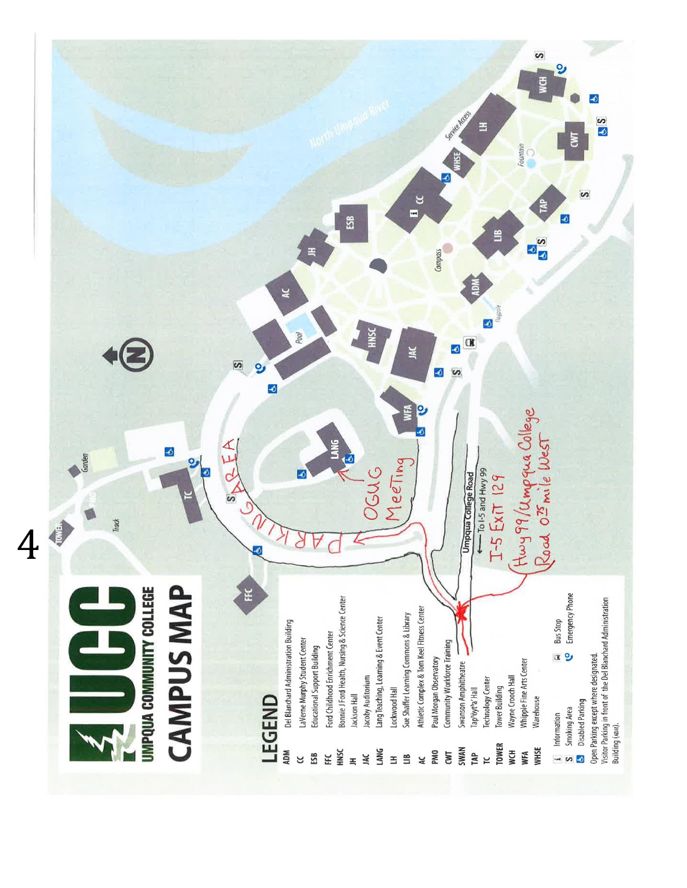